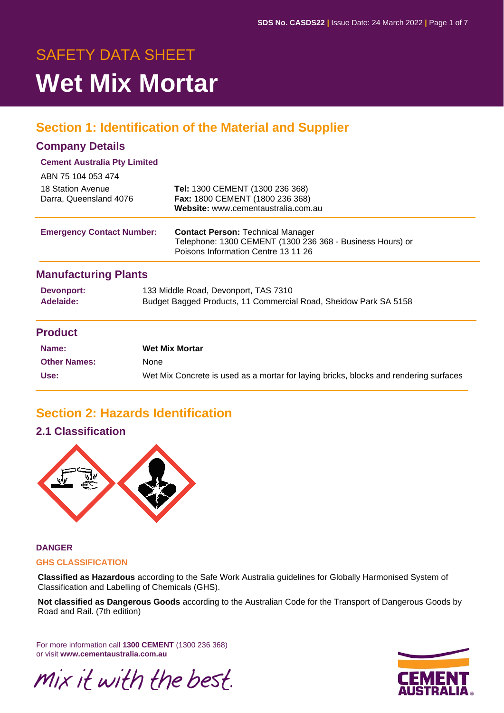# SAFETY DATA SHEET **Wet Mix Mortar**

# **Section 1: Identification of the Material and Supplier**

### **Company Details**

### **Cement Australia Pty Limited**

| ABN 75 104 053 474               |                                                                                                                                              |
|----------------------------------|----------------------------------------------------------------------------------------------------------------------------------------------|
| 18 Station Avenue                | Tel: 1300 CEMENT (1300 236 368)                                                                                                              |
| Darra, Queensland 4076           | Fax: 1800 CEMENT (1800 236 368)<br>Website: www.cementaustralia.com.au                                                                       |
| <b>Emergency Contact Number:</b> | <b>Contact Person: Technical Manager</b><br>Telephone: 1300 CEMENT (1300 236 368 - Business Hours) or<br>Poisons Information Centre 13 11 26 |
| <b>Manufacturing Plants</b>      |                                                                                                                                              |
| Devonport:<br>Adelaide:          | 133 Middle Road, Devonport, TAS 7310                                                                                                         |
|                                  | Budget Bagged Products, 11 Commercial Road, Sheidow Park SA 5158                                                                             |

### **Product**

| Name:               | <b>Wet Mix Mortar</b>                                                                 |
|---------------------|---------------------------------------------------------------------------------------|
| <b>Other Names:</b> | None                                                                                  |
| Use:                | Wet Mix Concrete is used as a mortar for laying bricks, blocks and rendering surfaces |

# **Section 2: Hazards Identification**

### **2.1 Classification**



### **DANGER**

#### **GHS CLASSIFICATION**

**Classified as Hazardous** according to the Safe Work Australia guidelines for Globally Harmonised System of Classification and Labelling of Chemicals (GHS).

**Not classified as Dangerous Goods** according to the Australian Code for the Transport of Dangerous Goods by Road and Rail. (7th edition)

For more information call **1300 CEMENT** (1300 236 368) or visit **www.cementaustralia.com.au**



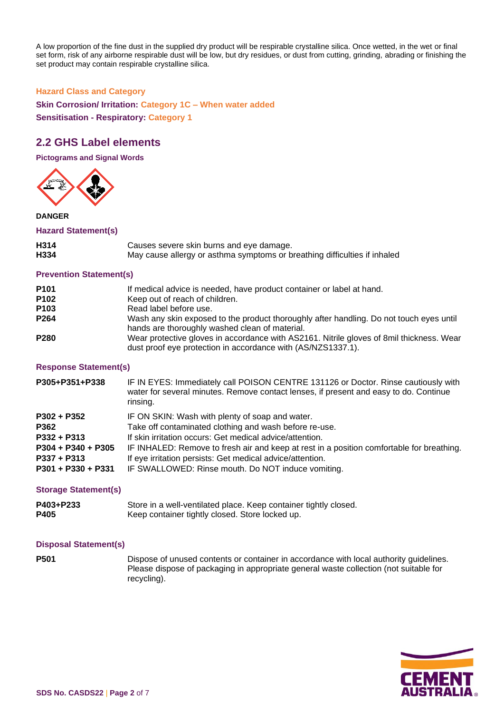A low proportion of the fine dust in the supplied dry product will be respirable crystalline silica. Once wetted, in the wet or final set form, risk of any airborne respirable dust will be low, but dry residues, or dust from cutting, grinding, abrading or finishing the set product may contain respirable crystalline silica.

#### **Hazard Class and Category**

**Skin Corrosion/ Irritation: Category 1C – When water added Sensitisation - Respiratory: Category 1**

### **2.2 GHS Label elements**

**Pictograms and Signal Words**



#### **DANGER**

#### **Hazard Statement(s)**

| H314 | Causes severe skin burns and eye damage.                                  |
|------|---------------------------------------------------------------------------|
| H334 | May cause allergy or asthma symptoms or breathing difficulties if inhaled |

#### **Prevention Statement(s)**

| P <sub>101</sub> | If medical advice is needed, have product container or label at hand.                                                                                    |
|------------------|----------------------------------------------------------------------------------------------------------------------------------------------------------|
| P <sub>102</sub> | Keep out of reach of children.                                                                                                                           |
| P <sub>103</sub> | Read label before use.                                                                                                                                   |
| P <sub>264</sub> | Wash any skin exposed to the product thoroughly after handling. Do not touch eyes until<br>hands are thoroughly washed clean of material.                |
| P <sub>280</sub> | Wear protective gloves in accordance with AS2161. Nitrile gloves of 8mil thickness. Wear<br>dust proof eye protection in accordance with (AS/NZS1337.1). |

#### **Response Statement(s)**

| P305+P351+P338       | IF IN EYES: Immediately call POISON CENTRE 131126 or Doctor. Rinse cautiously with<br>water for several minutes. Remove contact lenses, if present and easy to do. Continue<br>rinsing. |
|----------------------|-----------------------------------------------------------------------------------------------------------------------------------------------------------------------------------------|
| $P302 + P352$        | IF ON SKIN: Wash with plenty of soap and water.                                                                                                                                         |
| P362                 | Take off contaminated clothing and wash before re-use.                                                                                                                                  |
| $P332 + P313$        | If skin irritation occurs: Get medical advice/attention.                                                                                                                                |
| P304 + P340 + P305   | IF INHALED: Remove to fresh air and keep at rest in a position comfortable for breathing.                                                                                               |
| $P337 + P313$        | If eye irritation persists: Get medical advice/attention.                                                                                                                               |
| $P301 + P330 + P331$ | IF SWALLOWED: Rinse mouth. Do NOT induce vomiting.                                                                                                                                      |

#### **Storage Statement(s)**

| P403+P233 | Store in a well-ventilated place. Keep container tightly closed. |
|-----------|------------------------------------------------------------------|
| P405      | Keep container tightly closed. Store locked up.                  |

#### **Disposal Statement(s)**

**P501** Dispose of unused contents or container in accordance with local authority guidelines. Please dispose of packaging in appropriate general waste collection (not suitable for recycling).

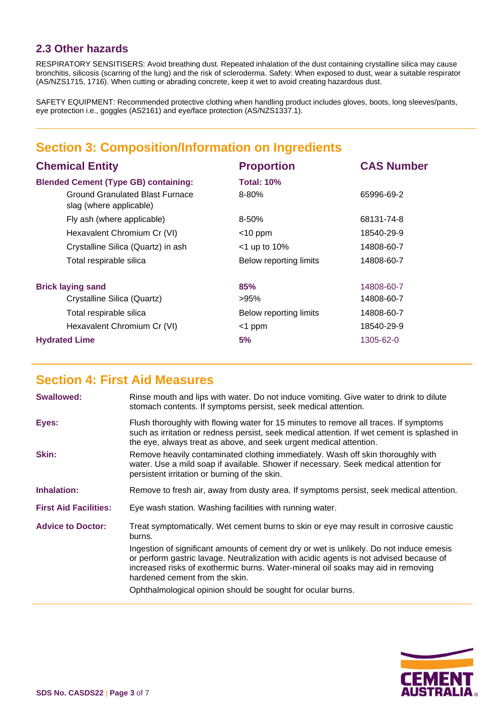### **2.3 Other hazards**

RESPIRATORY SENSITISERS: Avoid breathing dust. Repeated inhalation of the dust containing crystalline silica may cause bronchitis, silicosis (scarring of the lung) and the risk of scleroderma. Safety: When exposed to dust, wear a suitable respirator (AS/NZS1715, 1716). When cutting or abrading concrete, keep it wet to avoid creating hazardous dust.

SAFETY EQUIPMENT: Recommended protective clothing when handling product includes gloves, boots, long sleeves/pants, eye protection i.e., goggles (AS2161) and eye/face protection (AS/NZS1337.1).

# **Section 3: Composition/Information on Ingredients**

| <b>Chemical Entity</b>                                     | <b>Proportion</b>      | <b>CAS Number</b> |  |
|------------------------------------------------------------|------------------------|-------------------|--|
| <b>Blended Cement (Type GB) containing:</b>                | <b>Total: 10%</b>      |                   |  |
| Ground Granulated Blast Furnace<br>slag (where applicable) | $8 - 80%$              | 65996-69-2        |  |
| Fly ash (where applicable)                                 | $8 - 50%$              | 68131-74-8        |  |
| Hexavalent Chromium Cr (VI)                                | $<$ 10 ppm             | 18540-29-9        |  |
| Crystalline Silica (Quartz) in ash                         | $<$ 1 up to 10%        | 14808-60-7        |  |
| Total respirable silica                                    | Below reporting limits | 14808-60-7        |  |
| <b>Brick laying sand</b>                                   | 85%                    | 14808-60-7        |  |
| Crystalline Silica (Quartz)                                | >95%                   | 14808-60-7        |  |
| Total respirable silica                                    | Below reporting limits | 14808-60-7        |  |
| Hexavalent Chromium Cr (VI)                                | $<$ 1 ppm              | 18540-29-9        |  |
| <b>Hydrated Lime</b>                                       | 5%                     | 1305-62-0         |  |

## **Section 4: First Aid Measures**

|                              | Rinse mouth and lips with water. Do not induce vomiting. Give water to drink to dilute<br>stomach contents. If symptoms persist, seek medical attention.                                                                                                                                                |
|------------------------------|---------------------------------------------------------------------------------------------------------------------------------------------------------------------------------------------------------------------------------------------------------------------------------------------------------|
| Eyes:                        | Flush thoroughly with flowing water for 15 minutes to remove all traces. If symptoms<br>such as irritation or redness persist, seek medical attention. If wet cement is splashed in<br>the eye, always treat as above, and seek urgent medical attention.                                               |
| <b>Skin:</b>                 | Remove heavily contaminated clothing immediately. Wash off skin thoroughly with<br>water. Use a mild soap if available. Shower if necessary. Seek medical attention for<br>persistent irritation or burning of the skin.                                                                                |
| <b>Inhalation:</b>           | Remove to fresh air, away from dusty area. If symptoms persist, seek medical attention.                                                                                                                                                                                                                 |
| <b>First Aid Facilities:</b> | Eye wash station. Washing facilities with running water.                                                                                                                                                                                                                                                |
| <b>Advice to Doctor:</b>     | Treat symptomatically. Wet cement burns to skin or eye may result in corrosive caustic<br>burns.                                                                                                                                                                                                        |
|                              | Ingestion of significant amounts of cement dry or wet is unlikely. Do not induce emesis<br>or perform gastric lavage. Neutralization with acidic agents is not advised because of<br>increased risks of exothermic burns. Water-mineral oil soaks may aid in removing<br>hardened cement from the skin. |
|                              | Ophthalmological opinion should be sought for ocular burns.                                                                                                                                                                                                                                             |

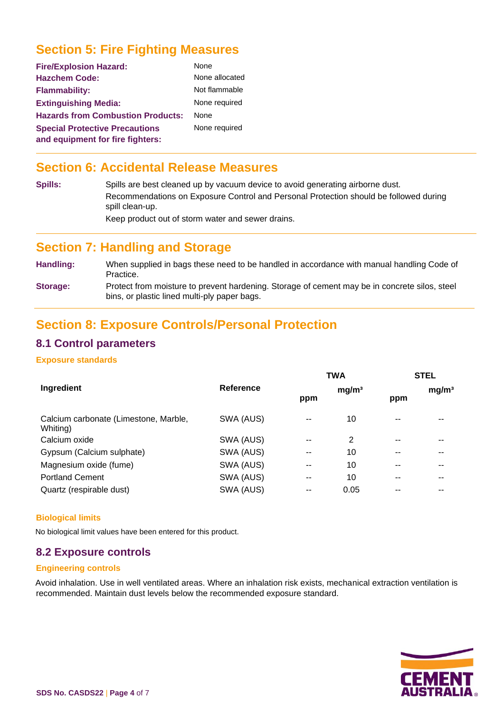# **Section 5: Fire Fighting Measures**

| <b>Fire/Explosion Hazard:</b>                                             | None           |
|---------------------------------------------------------------------------|----------------|
| <b>Hazchem Code:</b>                                                      | None allocated |
| <b>Flammability:</b>                                                      | Not flammable  |
| <b>Extinguishing Media:</b>                                               | None required  |
| <b>Hazards from Combustion Products:</b>                                  | <b>None</b>    |
| <b>Special Protective Precautions</b><br>and equipment for fire fighters: | None required  |

## **Section 6: Accidental Release Measures**

**Spills:** Spills are best cleaned up by vacuum device to avoid generating airborne dust. Recommendations on Exposure Control and Personal Protection should be followed during spill clean-up. Keep product out of storm water and sewer drains.

### **Section 7: Handling and Storage**

**Handling:** When supplied in bags these need to be handled in accordance with manual handling Code of Practice. **Storage:** Protect from moisture to prevent hardening. Storage of cement may be in concrete silos, steel

bins, or plastic lined multi-ply paper bags.

### **Section 8: Exposure Controls/Personal Protection**

### **8.1 Control parameters**

#### **Exposure standards**

|                                                   |                  |     | <b>TWA</b>        |       | <b>STEL</b>       |
|---------------------------------------------------|------------------|-----|-------------------|-------|-------------------|
| Ingredient                                        | <b>Reference</b> | ppm | mg/m <sup>3</sup> | ppm   | mg/m <sup>3</sup> |
| Calcium carbonate (Limestone, Marble,<br>Whiting) | SWA (AUS)        | --  | 10                | --    |                   |
| Calcium oxide                                     | SWA (AUS)        | $-$ | 2                 | $- -$ |                   |
| Gypsum (Calcium sulphate)                         | SWA (AUS)        | --  | 10                | --    |                   |
| Magnesium oxide (fume)                            | SWA (AUS)        | $-$ | 10                | --    |                   |
| <b>Portland Cement</b>                            | SWA (AUS)        | $-$ | 10                | --    |                   |
| Quartz (respirable dust)                          | SWA (AUS)        | --  | 0.05              | --    |                   |

#### **Biological limits**

No biological limit values have been entered for this product.

### **8.2 Exposure controls**

### **Engineering controls**

Avoid inhalation. Use in well ventilated areas. Where an inhalation risk exists, mechanical extraction ventilation is recommended. Maintain dust levels below the recommended exposure standard.

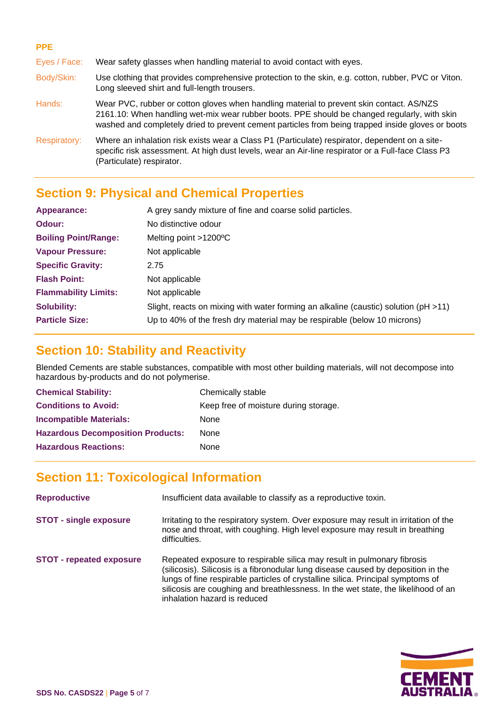#### **PPE**

Eyes / Face: Wear safety glasses when handling material to avoid contact with eyes.

- Body/Skin: Use clothing that provides comprehensive protection to the skin, e.g. cotton, rubber, PVC or Viton. Long sleeved shirt and full-length trousers.
- Hands: Wear PVC, rubber or cotton gloves when handling material to prevent skin contact. AS/NZS 2161.10: When handling wet-mix wear rubber boots. PPE should be changed regularly, with skin washed and completely dried to prevent cement particles from being trapped inside gloves or boots
- Respiratory: Where an inhalation risk exists wear a Class P1 (Particulate) respirator, dependent on a sitespecific risk assessment. At high dust levels, wear an Air-line respirator or a Full-face Class P3 (Particulate) respirator.

# **Section 9: Physical and Chemical Properties**

| Appearance:                 | A grey sandy mixture of fine and coarse solid particles.                                 |  |
|-----------------------------|------------------------------------------------------------------------------------------|--|
| Odour:                      | No distinctive odour                                                                     |  |
| <b>Boiling Point/Range:</b> | Melting point $>1200^{\circ}$ C                                                          |  |
| <b>Vapour Pressure:</b>     | Not applicable                                                                           |  |
| <b>Specific Gravity:</b>    | 2.75                                                                                     |  |
| <b>Flash Point:</b>         | Not applicable                                                                           |  |
| <b>Flammability Limits:</b> | Not applicable                                                                           |  |
| <b>Solubility:</b>          | Slight, reacts on mixing with water forming an alkaline (caustic) solution ( $pH > 11$ ) |  |
| <b>Particle Size:</b>       | Up to 40% of the fresh dry material may be respirable (below 10 microns)                 |  |

### **Section 10: Stability and Reactivity**

Blended Cements are stable substances, compatible with most other building materials, will not decompose into hazardous by-products and do not polymerise.

| <b>Chemical Stability:</b>               | Chemically stable                     |
|------------------------------------------|---------------------------------------|
| <b>Conditions to Avoid:</b>              | Keep free of moisture during storage. |
| <b>Incompatible Materials:</b>           | None                                  |
| <b>Hazardous Decomposition Products:</b> | None                                  |
| <b>Hazardous Reactions:</b>              | None                                  |

# **Section 11: Toxicological Information**

| <b>Reproductive</b>             | Insufficient data available to classify as a reproductive toxin.                                                                                                                                                                                                                                                                                                     |
|---------------------------------|----------------------------------------------------------------------------------------------------------------------------------------------------------------------------------------------------------------------------------------------------------------------------------------------------------------------------------------------------------------------|
| <b>STOT - single exposure</b>   | Irritating to the respiratory system. Over exposure may result in irritation of the<br>nose and throat, with coughing. High level exposure may result in breathing<br>difficulties.                                                                                                                                                                                  |
| <b>STOT - repeated exposure</b> | Repeated exposure to respirable silica may result in pulmonary fibrosis<br>(silicosis). Silicosis is a fibronodular lung disease caused by deposition in the<br>lungs of fine respirable particles of crystalline silica. Principal symptoms of<br>silicosis are coughing and breathlessness. In the wet state, the likelihood of an<br>inhalation hazard is reduced |

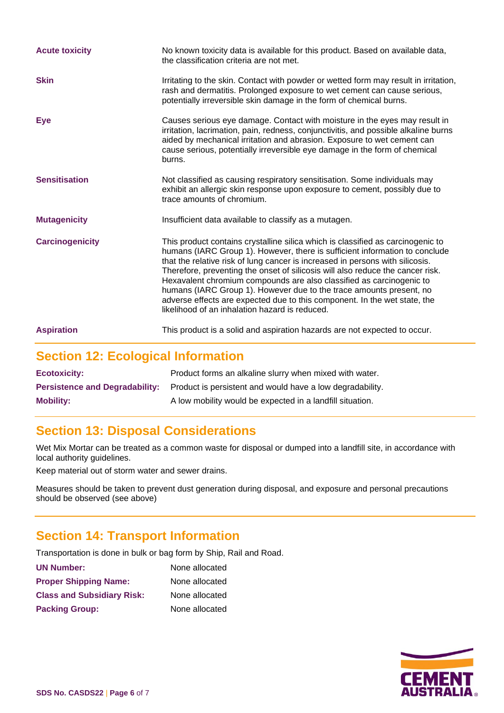| <b>Acute toxicity</b>  | No known toxicity data is available for this product. Based on available data,<br>the classification criteria are not met.                                                                                                                                                                                                                                                                                                                                                                                                                                                                                      |
|------------------------|-----------------------------------------------------------------------------------------------------------------------------------------------------------------------------------------------------------------------------------------------------------------------------------------------------------------------------------------------------------------------------------------------------------------------------------------------------------------------------------------------------------------------------------------------------------------------------------------------------------------|
| <b>Skin</b>            | Irritating to the skin. Contact with powder or wetted form may result in irritation,<br>rash and dermatitis. Prolonged exposure to wet cement can cause serious,<br>potentially irreversible skin damage in the form of chemical burns.                                                                                                                                                                                                                                                                                                                                                                         |
| Eye                    | Causes serious eye damage. Contact with moisture in the eyes may result in<br>irritation, lacrimation, pain, redness, conjunctivitis, and possible alkaline burns<br>aided by mechanical irritation and abrasion. Exposure to wet cement can<br>cause serious, potentially irreversible eye damage in the form of chemical<br>burns.                                                                                                                                                                                                                                                                            |
| <b>Sensitisation</b>   | Not classified as causing respiratory sensitisation. Some individuals may<br>exhibit an allergic skin response upon exposure to cement, possibly due to<br>trace amounts of chromium.                                                                                                                                                                                                                                                                                                                                                                                                                           |
| <b>Mutagenicity</b>    | Insufficient data available to classify as a mutagen.                                                                                                                                                                                                                                                                                                                                                                                                                                                                                                                                                           |
| <b>Carcinogenicity</b> | This product contains crystalline silica which is classified as carcinogenic to<br>humans (IARC Group 1). However, there is sufficient information to conclude<br>that the relative risk of lung cancer is increased in persons with silicosis.<br>Therefore, preventing the onset of silicosis will also reduce the cancer risk.<br>Hexavalent chromium compounds are also classified as carcinogenic to<br>humans (IARC Group 1). However due to the trace amounts present, no<br>adverse effects are expected due to this component. In the wet state, the<br>likelihood of an inhalation hazard is reduced. |
| <b>Aspiration</b>      | This product is a solid and aspiration hazards are not expected to occur.                                                                                                                                                                                                                                                                                                                                                                                                                                                                                                                                       |

# **Section 12: Ecological Information**

| <b>Ecotoxicity:</b> | Product forms an alkaline slurry when mixed with water.                                         |
|---------------------|-------------------------------------------------------------------------------------------------|
|                     | <b>Persistence and Degradability:</b> Product is persistent and would have a low degradability. |
| <b>Mobility:</b>    | A low mobility would be expected in a landfill situation.                                       |

# **Section 13: Disposal Considerations**

Wet Mix Mortar can be treated as a common waste for disposal or dumped into a landfill site, in accordance with local authority guidelines.

Keep material out of storm water and sewer drains.

Measures should be taken to prevent dust generation during disposal, and exposure and personal precautions should be observed (see above)

# **Section 14: Transport Information**

Transportation is done in bulk or bag form by Ship, Rail and Road.

| <b>UN Number:</b>                 | None allocated |
|-----------------------------------|----------------|
| <b>Proper Shipping Name:</b>      | None allocated |
| <b>Class and Subsidiary Risk:</b> | None allocated |
| <b>Packing Group:</b>             | None allocated |